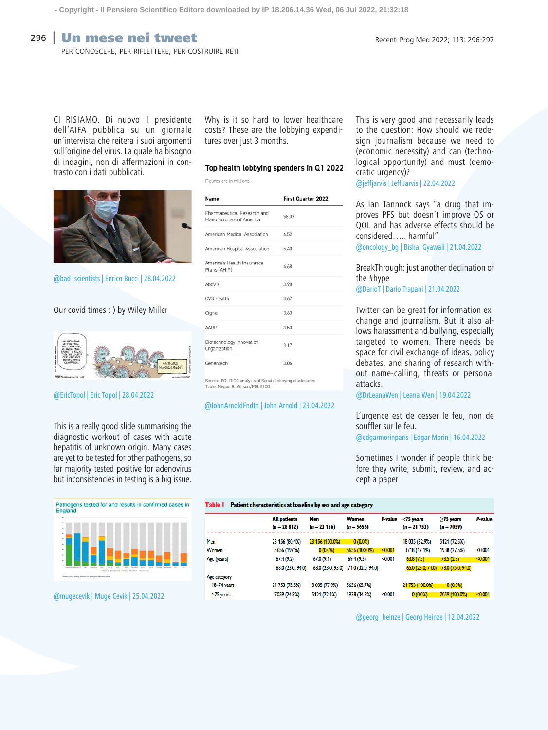# **296 Un mese nei tweet** Recenti Prog Med 2022; 113: 296-297

per conoscere, per riflettere, per costruire reti

CI RISIAMO. Di nuovo il presidente dell'AIFA pubblica su un giornale un'intervista che reitera i suoi argomenti sull'origine del virus. La quale ha bisogno di indagini, non di affermazioni in contrasto con i dati pubblicati.



@bad\_scientists | Enrico Bucci | 28.04.2022

### Our covid times :-) by Wiley Miller



## @EricTopol | Eric Topol | 28.04.2022

This is a really good slide summarising the diagnostic workout of cases with acute hepatitis of unknown origin. Many cases are yet to be tested for other pathogens, so far majority tested positive for adenovirus but inconsistencies in testing is a big issue.



@mugecevik | Muge Cevik | 25.04.2022

Why is it so hard to lower healthcare costs? These are the lobbying expenditures over just 3 months.

#### Top health lobbving spenders in Q1 2022

Figures are in millions.

| Name                                                    | <b>First Quarter 2022</b> |
|---------------------------------------------------------|---------------------------|
| Pharmaceutical Research and<br>Manufacturers of America | \$8.07                    |
| American Medical Association                            | 6.52                      |
| American Hospital Association                           | 5.40                      |
| America's Health Insurance<br>Plans (AHIP)              | 4.68                      |
| AbbVie                                                  | 3.98                      |
| CVS Health                                              | 3.67                      |
| Cigna                                                   | 3.63                      |
| AARP                                                    | 3.53                      |
| Biotechnology Innovation<br>Organization                | 3.17                      |
| Genentech                                               | 3.06                      |

Source: POLITICO analysis of Senate lobbying disclosures Table: Megan R. Wilson/POLITICO

#### @JohnArnoldFndtn | John Arnold | 23.04.2022

This is very good and necessarily leads to the question: How should we redesign journalism because we need to (economic necessity) and can (technological opportunity) and must (democratic urgency)?

@jeffjarvis | Jeff Jarvis | 22.04.2022

As Ian Tannock says "a drug that improves PFS but doesn't improve OS or QOL and has adverse effects should be considered….. harmful"

@oncology\_bg | Bishal Gyawali | 21.04.2022

BreakThrough: just another declination of the #hype @DarioT | Dario Trapani | 21.04.2022

Twitter can be great for information exchange and journalism. But it also allows harassment and bullying, especially targeted to women. There needs be space for civil exchange of ideas, policy debates, and sharing of research without name-calling, threats or personal attacks.

@DrLeanaWen | Leana Wen | 19.04.2022

L'urgence est de cesser le feu, non de souffler sur le feu.

@edgarmorinparis | Edgar Morin | 16.04.2022

Sometimes I wonder if people think before they write, submit, review, and accept a paper

#### Table I Patient characteristics at baseline by sex and age category

|              | <b>All patients</b><br>$(n = 28812)$ | Men<br>$(n = 23 156)$ | <b>Women</b><br>$(n = 5656)$ | <b>P</b> value | $75$ years<br>$(n = 21 753)$ | $\geq$ 75 years<br>$(n = 7059)$ | P-value |
|--------------|--------------------------------------|-----------------------|------------------------------|----------------|------------------------------|---------------------------------|---------|
| Men          | 23 156 (80.4%)                       | 23 156 (100.0%)       | 0(0.0%                       |                | 18 035 (82.9%)               | 5121 (72.5%)                    |         |
| Women        | 5656 (19.6%)                         | $0(0.0\%)$            | 5656 (100.0%)                | < 0.001        | 3718 (17.1%)                 | 1938 (27.5%)                    | < 0.001 |
| Age (years)  | 67.4(9.2)                            | 67.0(9.1)             | 69.4 (9.3)                   | < 0.001        | 63.8(7.5)                    | 78.5(2.9)                       | < 0.001 |
|              | 68.0 (23.0; 94.0)                    | 68.0 (23.0; 93.0)     | 71.0 (32.0; 94.0)            |                | 65.0 (23.0; 74.0)            | 78.0 (75.0; 94.0)               |         |
| Age category |                                      |                       |                              |                |                              |                                 |         |
| 18-74 years  | 21 753 (75.5%)                       | 18 035 (77.9%)        | 5656 (65.7%)                 |                | 21 753 (100.0%)              | 0(0.0%                          |         |
| >75 years    | 7059 (24.5%)                         | 5121 (22.1%)          | 1938 (34.3%)                 | < 0.001        | $0(0.0\%)$                   | 7059 (100.0%)                   | < 0.001 |

@georg\_heinze | Georg Heinze | 12.04.2022